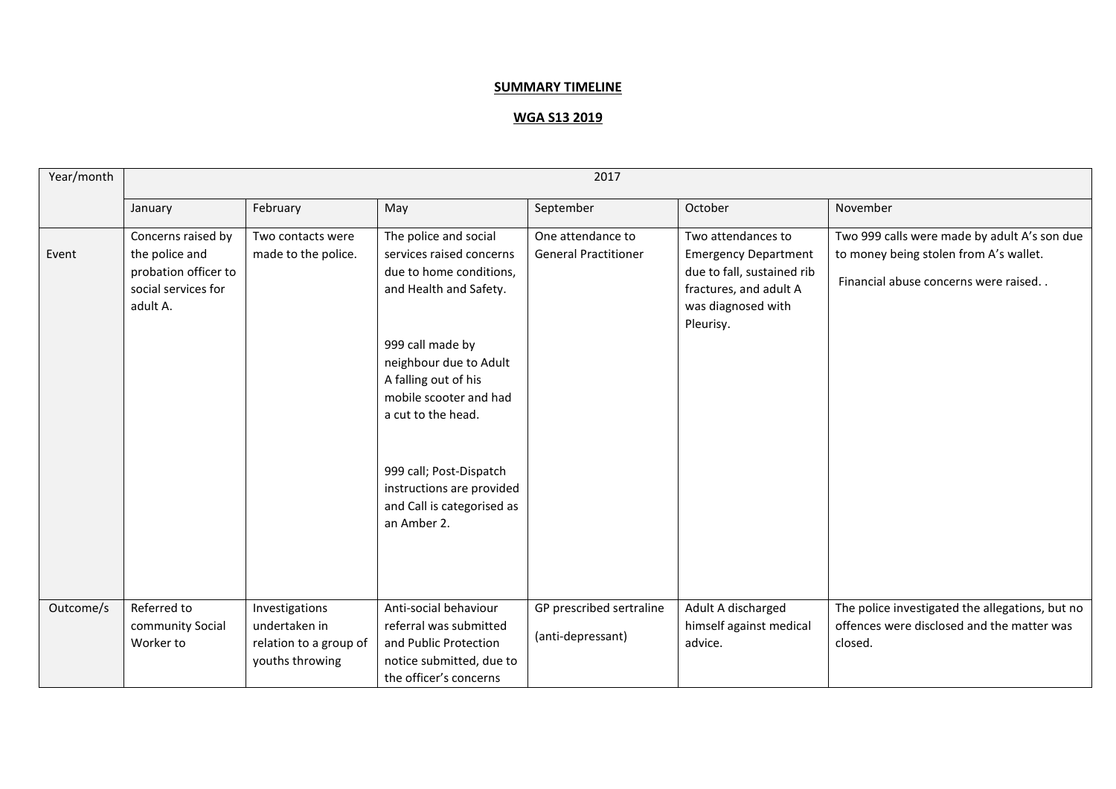## **SUMMARY TIMELINE**

## **WGA S13 2019**

| Year/month | 2017                                                                                            |                                                                              |                                                                                                                                                                                                                                                                                                                                   |                                                  |                                                                                                                                              |                                                                                                                                |  |
|------------|-------------------------------------------------------------------------------------------------|------------------------------------------------------------------------------|-----------------------------------------------------------------------------------------------------------------------------------------------------------------------------------------------------------------------------------------------------------------------------------------------------------------------------------|--------------------------------------------------|----------------------------------------------------------------------------------------------------------------------------------------------|--------------------------------------------------------------------------------------------------------------------------------|--|
|            | January                                                                                         | February                                                                     | May                                                                                                                                                                                                                                                                                                                               | September                                        | October                                                                                                                                      | November                                                                                                                       |  |
| Event      | Concerns raised by<br>the police and<br>probation officer to<br>social services for<br>adult A. | Two contacts were<br>made to the police.                                     | The police and social<br>services raised concerns<br>due to home conditions,<br>and Health and Safety.<br>999 call made by<br>neighbour due to Adult<br>A falling out of his<br>mobile scooter and had<br>a cut to the head.<br>999 call; Post-Dispatch<br>instructions are provided<br>and Call is categorised as<br>an Amber 2. | One attendance to<br><b>General Practitioner</b> | Two attendances to<br><b>Emergency Department</b><br>due to fall, sustained rib<br>fractures, and adult A<br>was diagnosed with<br>Pleurisy. | Two 999 calls were made by adult A's son due<br>to money being stolen from A's wallet.<br>Financial abuse concerns were raised |  |
| Outcome/s  | Referred to<br>community Social<br>Worker to                                                    | Investigations<br>undertaken in<br>relation to a group of<br>youths throwing | Anti-social behaviour<br>referral was submitted<br>and Public Protection<br>notice submitted, due to<br>the officer's concerns                                                                                                                                                                                                    | GP prescribed sertraline<br>(anti-depressant)    | Adult A discharged<br>himself against medical<br>advice.                                                                                     | The police investigated the allegations, but no<br>offences were disclosed and the matter was<br>closed.                       |  |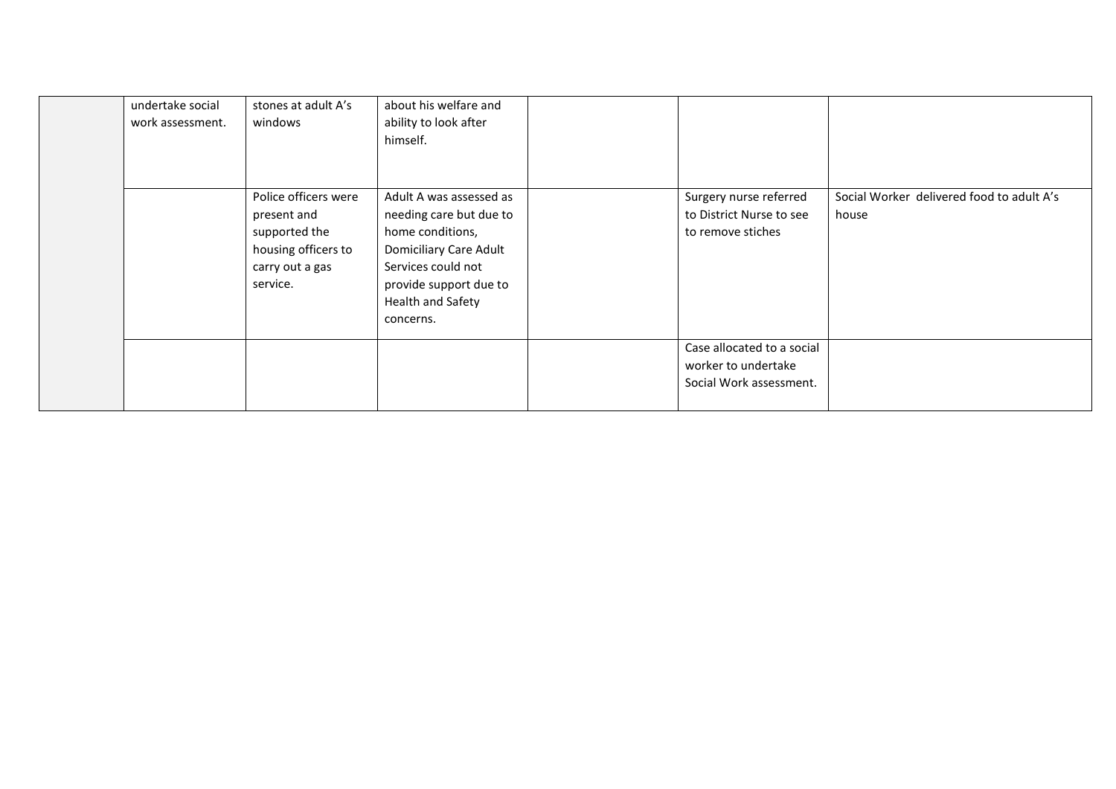| undertake social<br>work assessment. | stones at adult A's<br>windows                                                                             | about his welfare and<br>ability to look after<br>himself.                                                                                                                         |                                                                              |                                                    |
|--------------------------------------|------------------------------------------------------------------------------------------------------------|------------------------------------------------------------------------------------------------------------------------------------------------------------------------------------|------------------------------------------------------------------------------|----------------------------------------------------|
|                                      | Police officers were<br>present and<br>supported the<br>housing officers to<br>carry out a gas<br>service. | Adult A was assessed as<br>needing care but due to<br>home conditions,<br>Domiciliary Care Adult<br>Services could not<br>provide support due to<br>Health and Safety<br>concerns. | Surgery nurse referred<br>to District Nurse to see<br>to remove stiches      | Social Worker delivered food to adult A's<br>house |
|                                      |                                                                                                            |                                                                                                                                                                                    | Case allocated to a social<br>worker to undertake<br>Social Work assessment. |                                                    |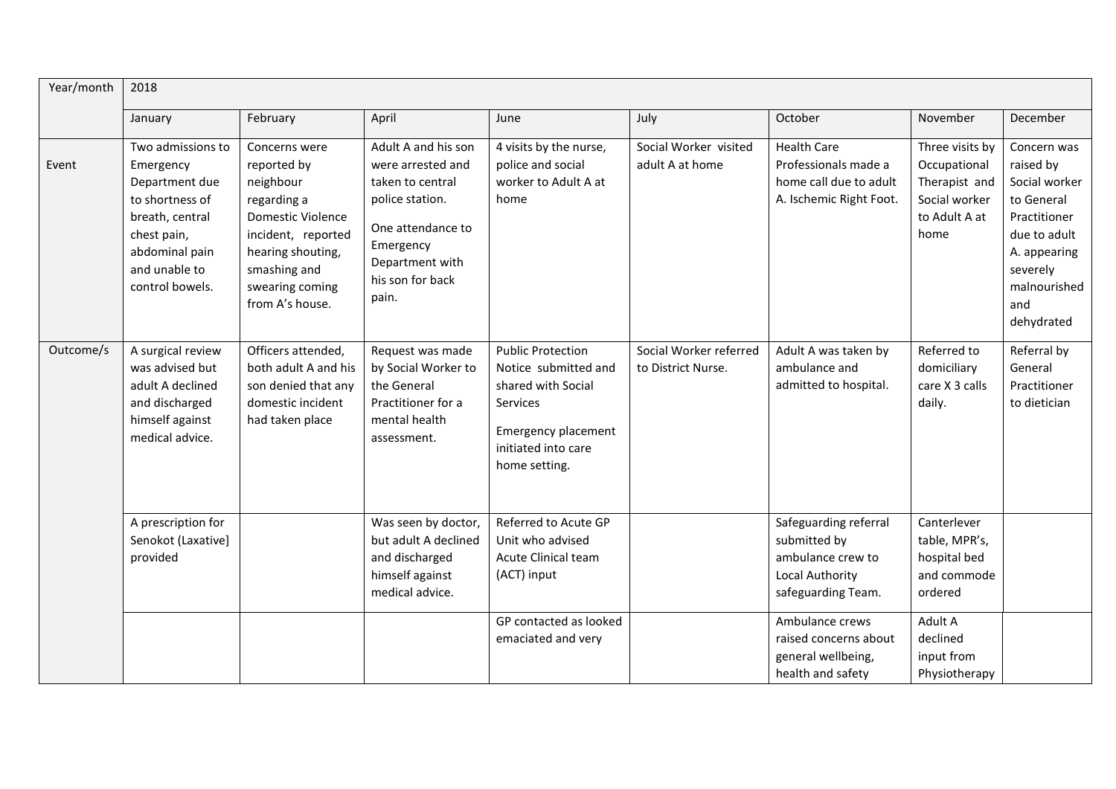| Year/month | 2018                                                                                                                                                        |                                                                                                                                                                                |                                                                                                                                                                   |                                                                                                                                                          |                                              |                                                                                                     |                                                                                            |                                                                                                                                                          |
|------------|-------------------------------------------------------------------------------------------------------------------------------------------------------------|--------------------------------------------------------------------------------------------------------------------------------------------------------------------------------|-------------------------------------------------------------------------------------------------------------------------------------------------------------------|----------------------------------------------------------------------------------------------------------------------------------------------------------|----------------------------------------------|-----------------------------------------------------------------------------------------------------|--------------------------------------------------------------------------------------------|----------------------------------------------------------------------------------------------------------------------------------------------------------|
|            | January                                                                                                                                                     | February                                                                                                                                                                       | April                                                                                                                                                             | June                                                                                                                                                     | July                                         | October                                                                                             | November                                                                                   | December                                                                                                                                                 |
| Event      | Two admissions to<br>Emergency<br>Department due<br>to shortness of<br>breath, central<br>chest pain,<br>abdominal pain<br>and unable to<br>control bowels. | Concerns were<br>reported by<br>neighbour<br>regarding a<br>Domestic Violence<br>incident, reported<br>hearing shouting,<br>smashing and<br>swearing coming<br>from A's house. | Adult A and his son<br>were arrested and<br>taken to central<br>police station.<br>One attendance to<br>Emergency<br>Department with<br>his son for back<br>pain. | 4 visits by the nurse,<br>police and social<br>worker to Adult A at<br>home                                                                              | Social Worker visited<br>adult A at home     | <b>Health Care</b><br>Professionals made a<br>home call due to adult<br>A. Ischemic Right Foot.     | Three visits by<br>Occupational<br>Therapist and<br>Social worker<br>to Adult A at<br>home | Concern was<br>raised by<br>Social worker<br>to General<br>Practitioner<br>due to adult<br>A. appearing<br>severely<br>malnourished<br>and<br>dehydrated |
| Outcome/s  | A surgical review<br>was advised but<br>adult A declined<br>and discharged<br>himself against<br>medical advice.                                            | Officers attended,<br>both adult A and his<br>son denied that any<br>domestic incident<br>had taken place                                                                      | Request was made<br>by Social Worker to<br>the General<br>Practitioner for a<br>mental health<br>assessment.                                                      | <b>Public Protection</b><br>Notice submitted and<br>shared with Social<br>Services<br><b>Emergency placement</b><br>initiated into care<br>home setting. | Social Worker referred<br>to District Nurse. | Adult A was taken by<br>ambulance and<br>admitted to hospital.                                      | Referred to<br>domiciliary<br>care X 3 calls<br>daily.                                     | Referral by<br>General<br>Practitioner<br>to dietician                                                                                                   |
|            | A prescription for<br>Senokot (Laxative)<br>provided                                                                                                        |                                                                                                                                                                                | Was seen by doctor,<br>but adult A declined<br>and discharged<br>himself against<br>medical advice.                                                               | Referred to Acute GP<br>Unit who advised<br><b>Acute Clinical team</b><br>(ACT) input                                                                    |                                              | Safeguarding referral<br>submitted by<br>ambulance crew to<br>Local Authority<br>safeguarding Team. | Canterlever<br>table, MPR's,<br>hospital bed<br>and commode<br>ordered                     |                                                                                                                                                          |
|            |                                                                                                                                                             |                                                                                                                                                                                |                                                                                                                                                                   | GP contacted as looked<br>emaciated and very                                                                                                             |                                              | Ambulance crews<br>raised concerns about<br>general wellbeing,<br>health and safety                 | Adult A<br>declined<br>input from<br>Physiotherapy                                         |                                                                                                                                                          |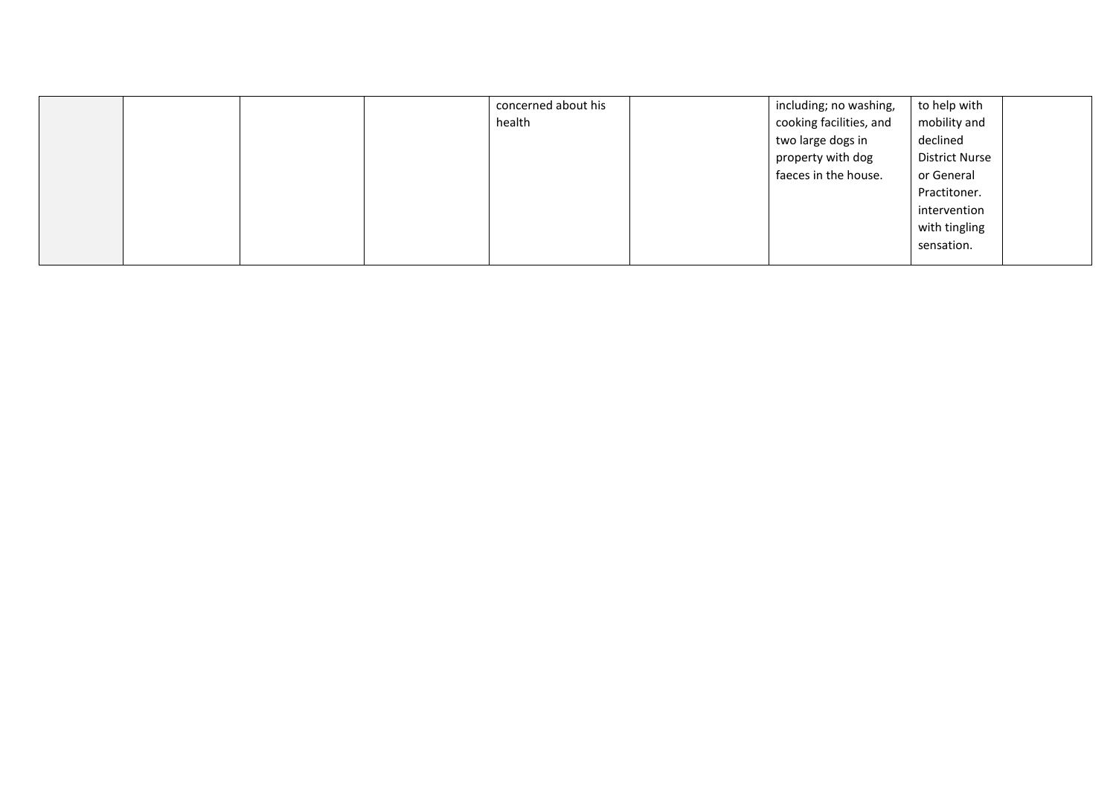|  |  | concerned about his | including; no washing,  | to help with          |  |
|--|--|---------------------|-------------------------|-----------------------|--|
|  |  | health              | cooking facilities, and | mobility and          |  |
|  |  |                     | two large dogs in       | declined              |  |
|  |  |                     | property with dog       | <b>District Nurse</b> |  |
|  |  |                     | faeces in the house.    | or General            |  |
|  |  |                     |                         | Practitoner.          |  |
|  |  |                     |                         | intervention          |  |
|  |  |                     |                         | with tingling         |  |
|  |  |                     |                         | sensation.            |  |
|  |  |                     |                         |                       |  |